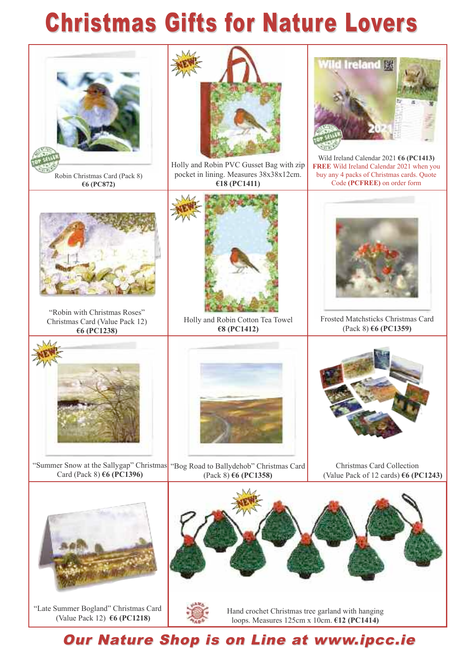## **Christmas Gifts for Nature Lovers**



"Late Summer Bogland" Christmas Card (Value Pack 12) **6 (PC1218)**



## Our Nature Shop is on Line at www.ipcc.ie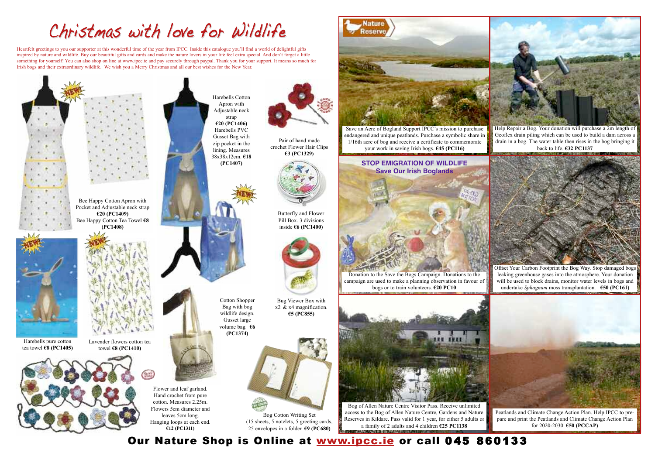## Christmas with love for Wildlife

Heartfelt greetings to you our supporter at this wonderful time of the year from IPCC. Inside this catalogue you'll find a world of delightful gifts inspired by nature and wildlife. Buy our beautiful gifts and cards and make the nature lovers in your life feel extra special. And don't forget a little something for yourself! You can also shop on line at www.ipcc.ie and pay securely through paypal. Thank you for your support. It means so much for Irish bogs and their extraordinary wildlife. We wish you a Merry Christmas and all our best wishes for the New Year.

> Help Repair a Bog. Your donation will purchase a 2m length of Geoflex drain piling which can be used to build a dam across a drain in a bog. The water table then rises in the bog bringing it back to life. **32 PC1137**





Nature **Reserve** 



Offset Your Carbon Footprint the Bog Way. Stop damaged bogs leaking greenhouse gases into the atmosphere. Your donation will be used to block drains, monitor water levels in bogs and undertake *Sphagnum* moss transplantation. **50 (PC161)**



Peatlands and Climate Change Action Plan. Help IPCC to prepare and print the Peatlands and Climate Change Action Plan for 2020-2030. **50 (PCCAP)**